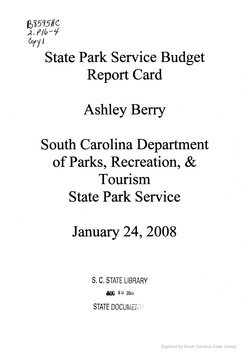

## State Park Service Budget Report Card

## Ashley Berry

# South Carolina Department of Parks, Recreation, & **Tourism State Park Service**

January 24, 2008

S. C. STATE LIBRARY

**ALIC 13 2005** 

**STATE DOCUMENTE** 

Digitized by South Carolina State Library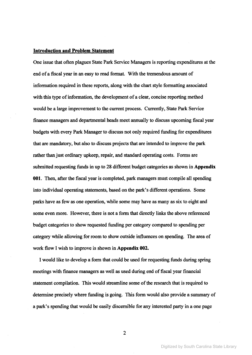### **Introduction and Problem Statement**

One issue that often plagues State Park Service Managers is reporting expenditures at the end ofa fiscal year in an easy to read format. With the tremendous amount of information required in these reports, along with the chart style formatting associated with this type of information, the development of a clear, concise reporting method would be a large improvement to the current process. Currently, State Park Service finance managers and departmental heads meet annually to discuss upcoming fiscal year budgets with every Park Manager to discuss not only required funding for expenditures that are mandatory, but also to discuss projects that are intended to improve the park rather than just ordinary upkeep, repair, and standard operating costs. Forms are submitted requesting funds in up to 28 different budget categories as shown in **Appendix 001.** Then, after the fiscal year is completed, park managers must compile all spending into individual operating statements, based on the park's different operations. Some parks have as few as one operation, while some may have as many as six to eight and some even more. However, there is not a form that directly links the above referenced budget categories to show requested funding per category compared to spending per category while allowing for room to show outside influences on spending. The area of work flow I wish to improve is shown in **Appendix 002.**

I would like to develop a form that could be used for requesting funds during spring meetings with finance managers as well as used during end of fiscal year financial statement compilation. This would streamline some of the research that is required to determine precisely where funding is going. This form would also provide a summary of a park's spending that would be easily discernible for any interested party in a one page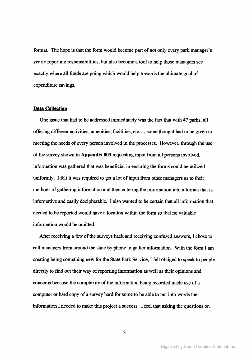format. The hope is that the form would become part of not only every park manager's yearly reporting responsibilities, but also become a tool to help those managers see exactly where all funds are going which would help towards the ultimate goal of expenditure savings.

### **Data CoUeetion**

One issue that had to be addressed immediately was the fact that with 47 parks, all offering different activities, amenities, facilities, etc..., some thought had to be given to meeting the needs of every person involved in the processes. However, through the use of the survey shown in **Appendix** 003 requesting input from all persons involved, information was gathered that was beneficial in ensuring the forms could be utilized uniformly. I felt it was required to get a lot of input from other managers as to their methods of gathering information and then entering the information into a format that is informative and easily decipherable. I also wanted to be certain that all information that needed to be reported would have a location within the form so that no valuable information would be omitted.

After receiving a few of the surveys back and receiving confused answers, I chose to call managers from around the state by phone to gather information. With the form I am creating being something new for the State Park Service, I felt obliged to speak to people directly to find out their way of reporting information as well as their opinions and concerns because the complexity of the information being recorded made use of a computer or hard copy of a survey hard for some to be able to put into words the information I needed to make this project a success. I feel that asking the questions on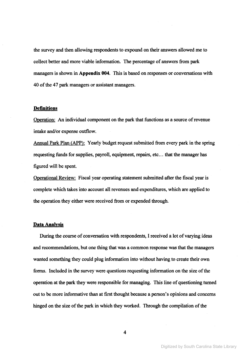the survey and then allowing respondents to expound on their answers allowed me to collect better and more viable information. The percentage of answers from park managers is shown in **Appendix 004.** This is based on responses or conversations with 40 of the 47 park managers or assistant managers.

### **Definitions**

Queration: An individual component on the park that functions as a source of revenue intake and/or expense outflow.

Annual Park Plan (APP): Yearly budget request submitted from every park in the spring requesting funds for supplies, payroll, equipment, repairs, etc... that the manager has figured will be spent.

Operational Review: Fiscal year operating statement submitted after the fiscal year is complete which takes into account all revenues and expenditures, which are applied to the operation they either were received from or expended through.

#### **Data Analysis**

During the course of conversation with respondents, I received a lot of varying ideas and recommendations, but one thing that was a common response was that the managers wanted something they could plug information into without having to create their own forms. Included in the survey were questions requesting information on the size of the operation at the park they were responsible for managing. This line of questioning turned out to be more informative than at first thought because a person's opinions and concerns hinged on the size of the park in which they worked. Through the compilation of the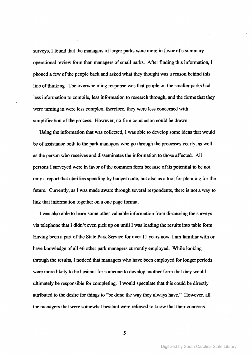surveys, I found that the managers of larger parks were more in favor of a summary operational review form than managers of small parks. After finding this information, I phoned a few of the people back and asked what they thought was a reason behind this line of thinking. The overwhelming response was that people on the smaller parks had less information to compile, less information to research through, and the forms that they were turning in were less complex, therefore, they were less concerned with simplification of the process. However, no firm conclusion could be drawn.

Using the information that was collected, I was able to develop some ideas that would be of assistance both to the park managers who go through the processes yearly, as well as the person who receives and disseminates the information to those affected. All persons I surveyed were in favor of the common form because of its potential to be not only a report that clarifies spending by budget code, but also as a tool for planning for the future. Currently, as I was made aware through several respondents, there is not a way to link that information together on a one page format.

I was also able to learn some other valuable information from discussing the surveys via telephone that I didn't even pick up on until I was loading the results into table form. Having been a part of the State Park Service for over 11 years now, I am familiar with or have knowledge of all 46 other park managers currently employed. While looking through the results, I noticed that managers who have been employed for longer periods were more likely to be hesitant for someone to develop another form that they would ultimately be responsible for completing. I would speculate that this could be directly attributed to the desire for things to "be done the way they always have." However. all the managers that were somewhat hesitant were relieved to know that their concerns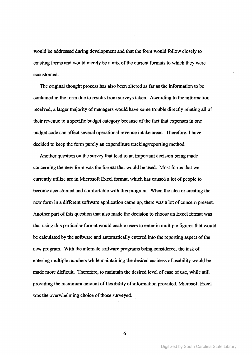would be addressed during development and that the fonn would follow closely to existing forms and would merely be a mix of the current formats to which they were accustomed.

The original thought process has also been altered as far as the infonnation to be contained in the form due to results from surveys taken. According to the information received, a larger majority of managers would have some trouble directly relating all of their revenue to a specific budget category because of the fact that expenses in one budget code can affect several operational revenue intake areas. Therefore, I have decided to keep the fonn purely an expenditure tracking/reporting method.

Another question on the survey that lead to an important decision being made concerning the new fonn was the fonnat that would be used. Most fonns that we currently utilize are in Microsoft Excel format, which has caused a lot of people to become accustomed and comfortable with this program. When the idea or creating the new fonn in a different software application came up, there was a lot of concern present. Another part of this question that also made the decision to choose an Excel format was that using this particular fonnat would enable users to enter in multiple figures that would be calculated by the software and automatically entered into the reporting aspect of the new program. With the alternate software programs being considered, the task of entering multiple numbers while maintaining the desired easiness of usability would be made more difficult. Therefore, to maintain the desired level of ease of use, while still providing the maximum amount of flexibility of information provided, Microsoft Excel was the overwhelming choice of those surveyed.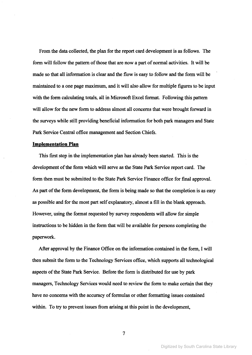From the data collected, the plan for the report card development is as follows. The form will follow the pattern of those that are now a part of normal activities. It will be made so that all information is clear and the flow is easy to follow and the form will be maintained to a one page maximum, and it will also allow for multiple figures to be input with the form calculating totals, all in Microsoft Excel format. Following this pattern will allow for the new form to address almost all concerns that were brought forward in the surveys while still providing beneficial information for both park managers and State Park Service Central office management and Section Chiefs.

### **Implementation Plan**

This first step in the implementation plan has already been started. This is the development of the form which will serve as the State Park Service report card. The form then must be submitted to the State Park Service Finance office for final approval. As part of the form development, the form is being made so that the completion is as easy as possible and for the most part self explanatory, almost a fill in the blank approach. However, using the format requested by survey respondents will allow for simple instructions to be hidden in the form that will be available for persons completing the paperwork.

After approval by the Finance Office on the information contained in the form, I will then submit the form to the Technology Services office, which supports all technological aspects ofthe State Park Service. Before the form is distributed for use by park managers, Technology Services would need to review the form to make certain that they have no concerns with the accuracy of formulas or other formatting issues contained within. To try to prevent issues from arising at this point in the development,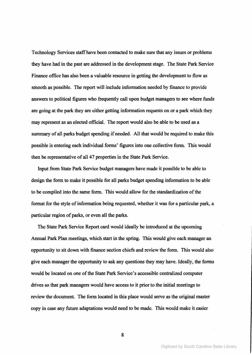Technology Services staff have been contacted to make sure that any issues or problems they have had in the past are addressed in the development stage. The State Park Service Finance office has also been a valuable resource in getting the development to flow as smooth as possible. The report will include information needed by finance to provide answers to political figures who frequently call upon budget managers to see where funds are going at the park they are either getting information requests on or a park which they may represent as an elected official. The report would also be able to be used as a summary of all parks budget spending if needed. All that would be required to make this possible is entering each individual forms' figures into one collective form. This would then be representative of all 47 properties in the State Park Service.

Input from State Park Service budget managers have made it possible to be able to design the form to make it possible for all parks budget spending information to be able to be compiled into the same form. This would allow for the standardization of the format for the style of information being requested, whether it was for a particular park, a particular region of parks, or even all the parks.

The State Park Service Report card would ideally be introduced at the upcoming Annual Park Plan meetings, which start in the spring. This would give each manager an opportunity to sit down with finance section chiefs and review the form. This would also give each manager the opportunity to ask any questions they may have. Ideally, the forms would be located on one of the State Park Service's accessible centralized computer drives so that park managers would have access to it prior to the initial meetings to review the document. The form located in this place would serve as the original master copy in case any future adaptations would need to be made. This would make it easier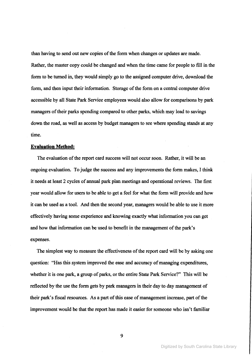than having to send out new copies of the form when changes or updates are made. Rather, the master copy could be changed and when the time came for people to fill in the form to be turned in, they would simply go to the assigned computer drive, download the form, and then input their information. Storage of the form on a central computer drive accessible by all State Park Service employees would also allow for comparisons by park managers of their parks spending compared to other parks, which may lead to savings down the road, *as* well *as* access by budget managers to see where spending stands at any time.

#### **Evaluation Method:**

The evaluation of the report card success will not occur soon. Rather, it will be an ongoing evaluation. To judge the success and any improvements the form makes, I think it needs at least 2 cycles of annual park plan meetings and operational reviews. The first year would allow for users to be able to get a feel for what the form will provide and how it can be used *as* a tool. And then the second year, managers would be able to use it more effectively having some experience and knowing exactly what information you can get and how that information can be used to benefit in the management of the park's expenses.

The simplest way to measure the effectiveness of the report card will be by asking one question: "Has this system improved the ease and accuracy of managing expenditures, whether it is one park, a group of parks, or the entire State Park Service?" This will be reflected by the use the form gets by park managers in their day to day management of their park's fiscal resources. As a part of this ease of management increase, part of the improvement would be that the report has made it easier for someone who isn't familiar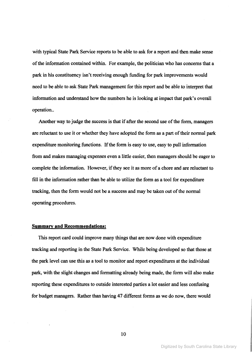with typical State Park Service reports to be able to ask for a report and then make sense of the information contained within. For example, the politician who has concerns that a park in his constituency isn't receiving enough funding for park improvements would need to be able to ask State Park management for this report and be able to interpret that information and understand how the numbers he is looking at impact that park's overall operation..

Another way to judge the success is that if after the second use of the form, managers are reluctant to use it or whether they have adopted the form as a part of their normal park expenditure monitoring functions. If the form is easy to use, easy to pull information from and makes managing expenses even a little easier, then managers should be eager to complete the information. However, if they see it as more of a chore and are reluctant to fill in the information rather than be able to utilize the form as a tool for expenditure tracking, then the form would not be a success and may be taken out of the normal operating procedures.

### **Sgmmary and Recommendations:**

This report card could improve many things that are now done with expenditure tracking and reporting in the State Park Service. While being developed so that those at the park level can use this as a tool to monitor and report expenditures at the individual park, with the slight changes and formatting already being made, the form will also make reporting these expenditures to outside interested parties a lot easier and less confusing for budget managers. Rather than having 47 different forms as we do now, there would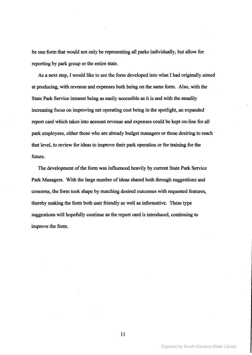be one fonn that would not only be representing all parks individually, but allow for reporting by park group or the entire state.

As a next step, I would like to see the form developed into what I had originally aimed at producing, with revenue and expenses both being on the same fonn. Also, with the State Park Service intranet being as easily accessible as it is and with the steadily increasing focus on improving net operating cost being in the spotlight, an expanded report card which takes into account revenue and expenses could be kept on-line for all park employees, either those who are already budget managers or those desiring to reach that level, to review for ideas to improve their park operation or for training for the future.

The development of the form was influenced heavily by current State Park Service Park Managers. With the large number of ideas shared both through suggestions and concerns, the fonn took shape by matching desired outcomes with requested features, thereby making the fonn both user friendly as well as infonnative. These type suggestions will hopefully continue as the report card is introduced, continuing to improve the form.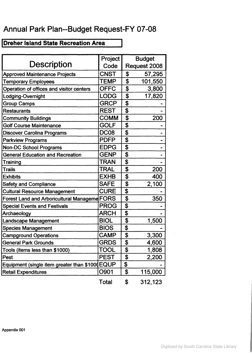### Annual Park Plan--Budget Request-FY 07-08

### Dreher Island State Recreation Area

|                                                | Project          |              | <b>Budget</b> |  |
|------------------------------------------------|------------------|--------------|---------------|--|
| <b>Description</b>                             | Code             | Request 2008 |               |  |
| <b>Approved Maintenance Projects</b>           | <b>CNST</b>      | \$           | 57,295        |  |
| <b>Temporary Employees</b>                     | <b>TEMP</b>      | \$           | 101,550       |  |
| Operation of offices and visitor centers       | <b>OFFC</b>      | \$           | 3,800         |  |
| Lodging-Overnight                              | <b>LODG</b>      | \$           | 17,820        |  |
| <b>Group Camps</b>                             | <b>GRCP</b>      | \$           |               |  |
| <b>Restaurants</b>                             | <b>REST</b>      | \$           |               |  |
| <b>Community Buildings</b>                     | <b>COMM</b>      | \$           | 200           |  |
| <b>Golf Course Maintenance</b>                 | GOLF             | \$           |               |  |
| Discover Carolina Programs                     | DC <sub>08</sub> | \$           |               |  |
| <b>Parkview Programs</b>                       | <b>PDFP</b>      | \$           |               |  |
| <b>Non-DC School Programs</b>                  | <b>EDPG</b>      | \$           |               |  |
| <b>General Education and Recreation</b>        | <b>GENP</b>      | \$           |               |  |
| Training                                       | <b>TRAN</b>      | \$           |               |  |
| <b>Trails</b>                                  | <b>TRAL</b>      | \$           | 200           |  |
| <b>Exhibits</b>                                | <b>EXHB</b>      | \$           | 400           |  |
| <b>Safety and Compliance</b>                   | <b>SAFE</b>      | \$           | 2,100         |  |
| <b>Cultural Resource Management</b>            | <b>CURE</b>      | \$           |               |  |
| Forest Land and Arboricultural Manageme FORS   |                  | \$           | 350           |  |
| <b>Special Events and Festivals</b>            | <b>PROG</b>      | \$           |               |  |
| Archaeology                                    | <b>ARCH</b>      | \$           |               |  |
| <b>Landscape Management</b>                    | <b>BIOL</b>      | \$           | 1,500         |  |
| <b>Species Management</b>                      | <b>BIOS</b>      | \$           |               |  |
| <b>Campground Operations</b>                   | <b>CAMP</b>      | \$           | 3,300         |  |
| General Park Grounds                           | <b>GRDS</b>      | \$           | 4,600         |  |
| Tools (items less than \$1000)                 | <b>TOOL</b>      | \$           | 1,808         |  |
| <b>Pest</b>                                    | <b>PEST</b>      | \$           | 2,200         |  |
| Equipment (single item greater than \$1000EQUP |                  | \$           |               |  |
| <b>Retail Expenditures</b>                     | O901             | \$           | 115,000       |  |
|                                                | Total            | \$           | 312,123       |  |

 $\sim$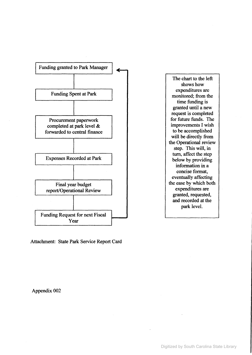

Attachment: State Park Service Report Card

The chart to the left shows how expenditures are monitored; from the time funding is granted until a new request is completed for future funds. The improvements I wish to be accomplished will be directly from the Operational review step. This will, in turn, affect the step below by providing information in a concise format, eventually affecting the ease by which both expenditures are granted, requested, and recorded at the park level.

Appendix 002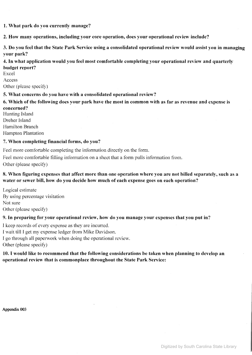### 1. What park do you currently manage?

2. How many operations, including your core operation, does your operational review include?

3. Do you feel that the State Park Service using a consolidated operational review would assist you in managing your park?

### 4. In what application would you feel most comfortable completing your operational review and quarterly budget report?

Excel Access Other (please specify)

### 5. What concerns do you have with a consolidated operational review'?

### 6. Which of the following does your park have the most in common with as far as revenue and expense is concerned?

Hunting Island Dreher Island Hamilton Branch Hampton Plantation

### 7. When completing financial forms, do you?

Feel more comfortable completing the information directly on the form.

Feel more comfortable filling information on a sheet that a form pulls information from. Other (please specify)

### 8. When figuring expenses that affect more than one operation where you are not billed separately, such as a water or sewer bill, how do you decide how much of each expense goes on each operation?

Logical estimate By using percentage visitation Not sure Other (please specify)

### 9. In preparing for your operational review, how do you manage your expenses that you put in?

1kcep records of every expense as they are incuned.

I wait till I get my expense ledger from Mike Davidson.

I go through all paperwork when doing the operational review.

Other (please specify)

### 10. I would like to recommend that the following considerations be taken when planning to develop an operational review that is commonplace throughout the State Park Service: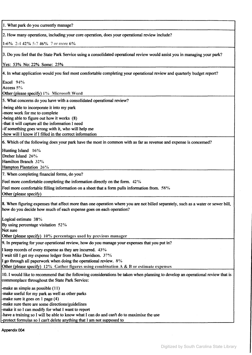1. What park do you currently manage? 2. How many operations, including your core operation, does your operational review include? 1-6'% 2-442% 5-7 46% 7 or more 6% 3. Do you feel that the State Park Service using a consolidated operational review would assist you in managing your park? Yes: 53% No: 22% Some: 25% 4. In what application would you feel most comfortable completing your operational review and quarterly budget report? Excel 94% Access 5'% Other (please specify) 1% Microsoft Word 5. What concerns do you have with a consolidated operational review? -being able to incorporate it into my park -more work for me to complete -being able to figure out how it works (8) -that it will capture all the information I need -if something goes wrong with it, who will help me -how will I know if I filled in the correct information 6. Which of the following does your park have the most in common with as far as revenue and expense is concerned? Hunting Island 16% Dreher Island 26% Hamilton Branch 32'% Hampton Plantation 26'% 7. When completing financial forms, do you? Feel more comfortable completing the information directly on the form. 42% Feel more comfortable filling information on a sheet that a form pulls information from. 58% Other (please specify) 8. When figuring expenses that affect more than one operation where you are not billed separately, such as a water or sewer bill, how do you decide how much of each expense goes on each operation? Logical estimate  $38\%$ By using percentage visitation 52% Not sure Other (please specify) 10% percentages used by previous manager 9. In preparing for your operational review, how do you manage your expenses that you put in? I keep records of every expense as they are incurred. 43% I wait till I get my expense ledger from Mike Davidson. 37% I go through all paperwork when doing the operational review. 8% Other (please specify)  $12\%$  Gather figures using combination A & B or estimate expenses 10. I would like to recommend that the following considerations be taken when planning to develop an operational review that is commonplace throughout the State Park Service: -make as simple as possible (11) -make useful for my park as well as other parks -make sure it goes on I page (4) -make sure there are some directions/guidelines -make it so I can modify for what I want to report -have a training so I will be able to know what I can do and can't do to maximixe the use -protect formulas so I can't delete anything that I am not supposed to

Appendix 004